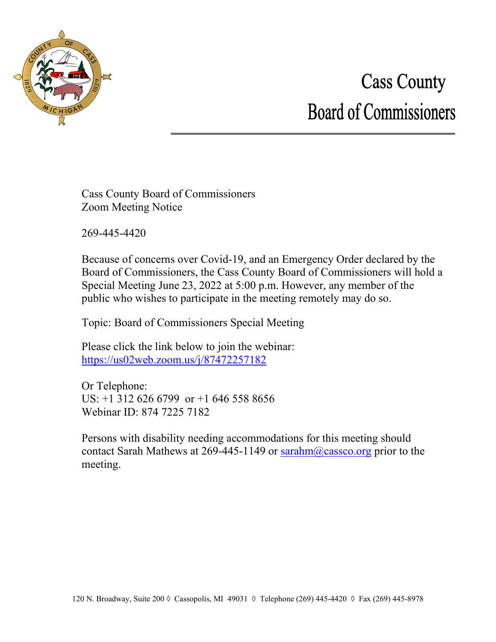

## **Cass County Board of Commissioners**

Cass County Board of Commissioners Zoom Meeting Notice

269-445-4420

Because of concerns over Covid-19, and an Emergency Order declared by the Board of Commissioners, the Cass County Board of Commissioners will hold a Special Meeting June 23, 2022 at 5:00 p.m. However, any member of the public who wishes to participate in the meeting remotely may do so.

Topic: Board of Commissioners Special Meeting

Please click the link below to join the webinar: <https://us02web.zoom.us/j/87472257182>

Or Telephone: US: +1 312 626 6799 or +1 646 558 8656 Webinar ID: 874 7225 7182

Persons with disability needing accommodations for this meeting should contact Sarah Mathews at 269-445-1149 or [sarahm@cassco.org](mailto:sarahm@cassco.org) prior to the meeting.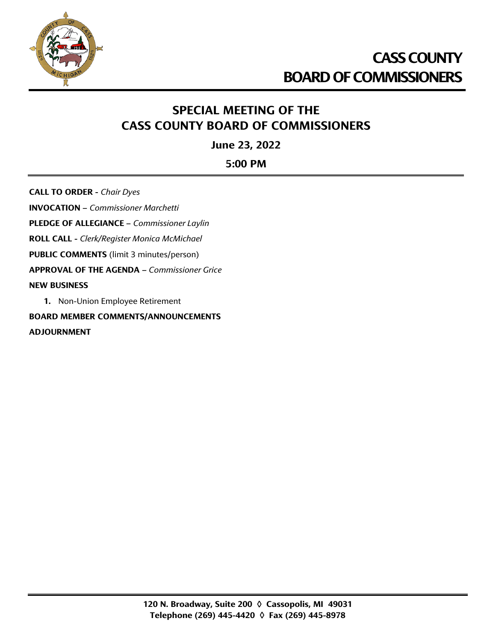

## **SPECIAL MEETING OF THE CASS COUNTY BOARD OF COMMISSIONERS**

**June 23, 2022**

**5:00 PM**

**CALL TO ORDER -** *Chair Dyes* **INVOCATION –** *Commissioner Marchetti* **PLEDGE OF ALLEGIANCE –** *Commissioner Laylin* **ROLL CALL -** *Clerk/Register Monica McMichael* **PUBLIC COMMENTS** (limit 3 minutes/person) **APPROVAL OF THE AGENDA –** *Commissioner Grice* **NEW BUSINESS 1.** Non-Union Employee Retirement

**BOARD MEMBER COMMENTS/ANNOUNCEMENTS ADJOURNMENT**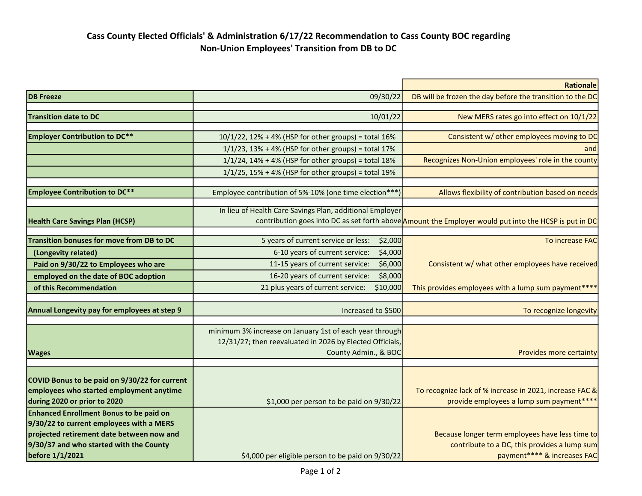## Cass County Elected Officials' & Administration 6/17/22 Recommendation to Cass County BOC regarding Non-Union Employees' Transition from DB to DC

|                                                  |                                                          | <b>Rationale</b>                                                                                      |
|--------------------------------------------------|----------------------------------------------------------|-------------------------------------------------------------------------------------------------------|
| <b>DB</b> Freeze                                 | 09/30/22                                                 | DB will be frozen the day before the transition to the DC                                             |
|                                                  |                                                          |                                                                                                       |
| <b>Transition date to DC</b>                     | 10/01/22                                                 | New MERS rates go into effect on 10/1/22                                                              |
| <b>Employer Contribution to DC**</b>             | 10/1/22, 12% + 4% (HSP for other groups) = total 16%     | Consistent w/ other employees moving to DC                                                            |
|                                                  | $1/1/23$ , 13% + 4% (HSP for other groups) = total 17%   | and                                                                                                   |
|                                                  | $1/1/24$ , $14% + 4%$ (HSP for other groups) = total 18% | Recognizes Non-Union employees' role in the county                                                    |
|                                                  | $1/1/25$ , 15% + 4% (HSP for other groups) = total 19%   |                                                                                                       |
|                                                  |                                                          |                                                                                                       |
| <b>Employee Contribution to DC**</b>             | Employee contribution of 5%-10% (one time election***)   | Allows flexibility of contribution based on needs                                                     |
|                                                  |                                                          |                                                                                                       |
|                                                  | In lieu of Health Care Savings Plan, additional Employer |                                                                                                       |
| <b>Health Care Savings Plan (HCSP)</b>           |                                                          | contribution goes into DC as set forth above Amount the Employer would put into the HCSP is put in DC |
| <b>Transition bonuses for move from DB to DC</b> | \$2,000<br>5 years of current service or less:           | To increase FAC                                                                                       |
| (Longevity related)                              | 6-10 years of current service:<br>\$4,000                |                                                                                                       |
| Paid on 9/30/22 to Employees who are             | 11-15 years of current service:<br>\$6,000               | Consistent w/ what other employees have received                                                      |
| employed on the date of BOC adoption             | 16-20 years of current service:<br>\$8,000               |                                                                                                       |
| of this Recommendation                           | \$10,000<br>21 plus years of current service:            | This provides employees with a lump sum payment****                                                   |
|                                                  |                                                          |                                                                                                       |
| Annual Longevity pay for employees at step 9     | Increased to \$500                                       | To recognize longevity                                                                                |
|                                                  |                                                          |                                                                                                       |
|                                                  | minimum 3% increase on January 1st of each year through  |                                                                                                       |
|                                                  | 12/31/27; then reevaluated in 2026 by Elected Officials, |                                                                                                       |
| <b>Wages</b>                                     | County Admin., & BOC                                     | Provides more certainty                                                                               |
|                                                  |                                                          |                                                                                                       |
| COVID Bonus to be paid on 9/30/22 for current    |                                                          |                                                                                                       |
| employees who started employment anytime         |                                                          | To recognize lack of % increase in 2021, increase FAC &                                               |
| during 2020 or prior to 2020                     | \$1,000 per person to be paid on 9/30/22                 | provide employees a lump sum payment****                                                              |
| <b>Enhanced Enrollment Bonus to be paid on</b>   |                                                          |                                                                                                       |
| 9/30/22 to current employees with a MERS         |                                                          |                                                                                                       |
| projected retirement date between now and        |                                                          | Because longer term employees have less time to                                                       |
| 9/30/37 and who started with the County          |                                                          | contribute to a DC, this provides a lump sum                                                          |
| before 1/1/2021                                  | \$4,000 per eligible person to be paid on 9/30/22        | payment**** & increases FAC                                                                           |